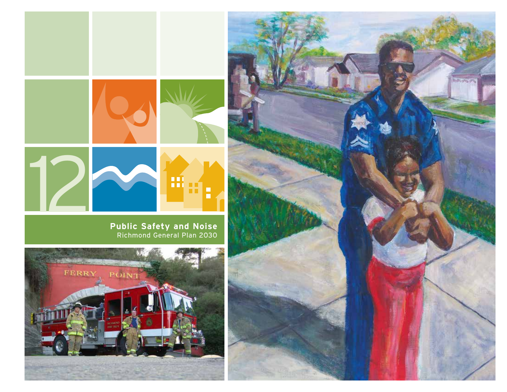

**Public Safety and Noise** Richmond General Plan 2030



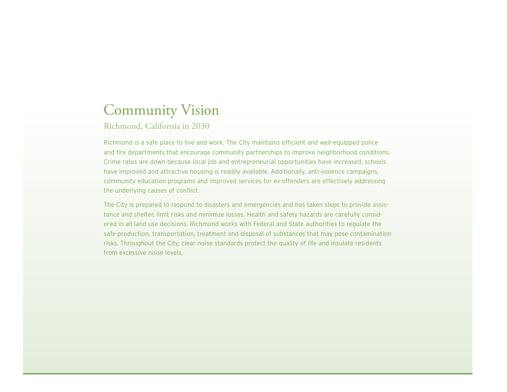# Community Vision

Richmond, California in 2030

Richmond is a safe place to live and work. The City maintains efficient and well-equipped police and fire departments that encourage community partnerships to improve neighborhood conditions. Crime rates are down because local job and entrepreneurial opportunities have increased, schools have improved and attractive housing is readily available. Additionally, anti-violence campaigns, community education programs and improved services for ex-offenders are effectively addressing the underlying causes of conflict.

The City is prepared to respond to disasters and emergencies and has taken steps to provide assistance and shelter, limit risks and minimize losses. Health and safety hazards are carefully considered in all land use decisions. Richmond works with Federal and State authorities to regulate the safe production, transportation, treatment and disposal of substances that may pose contamination risks. Throughout the City, clear noise standards protect the quality of life and insulate residents from excessive noise levels.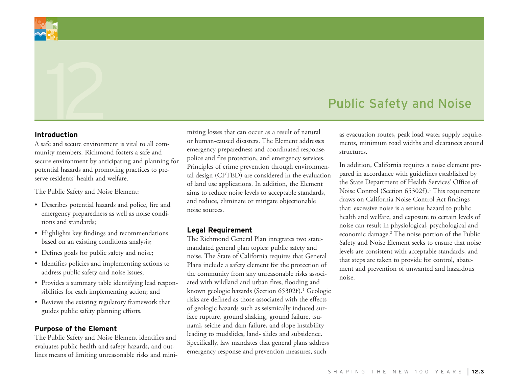

# Public Safety and Noise

#### **Introduction**

A safe and secure environment is vital to all community members. Richmond fosters a safe and secure environment by anticipating and planning for potential hazards and promoting practices to preserve residents' health and welfare.

The Public Safety and Noise Element:

- • Describes potential hazards and police, fire and emergency preparedness as well as noise conditions and standards;
- Highlights key findings and recommendations based on an existing conditions analysis;
- Defines goals for public safety and noise;
- • Identifies policies and implementing actions to address public safety and noise issues;
- • Provides a summary table identifying lead responsibilities for each implementing action; and
- Reviews the existing regulatory framework that guides public safety planning efforts.

#### **Purpose of the Element**

The Public Safety and Noise Element identifies and evaluates public health and safety hazards, and outlines means of limiting unreasonable risks and minimizing losses that can occur as a result of natural or human-caused disasters. The Element addresses emergency preparedness and coordinated response, police and fire protection, and emergency services. Principles of crime prevention through environmental design (CPTED) are considered in the evaluation of land use applications. In addition, the Element aims to reduce noise levels to acceptable standards, and reduce, eliminate or mitigate objectionable noise sources.

#### **Legal Requirement**

The Richmond General Plan integrates two statemandated general plan topics: public safety and noise. The State of California requires that General Plans include a safety element for the protection of the community from any unreasonable risks associated with wildland and urban fires, flooding and known geologic hazards (Section 65302f).<sup>1</sup> Geologic risks are defined as those associated with the effects of geologic hazards such as seismically induced surface rupture, ground shaking, ground failure, tsunami, seiche and dam failure, and slope instability leading to mudslides, land- slides and subsidence. Specifically, law mandates that general plans address emergency response and prevention measures, such

as evacuation routes, peak load water supply requirements, minimum road widths and clearances around structures.

In addition, California requires a noise element prepared in accordance with guidelines established by the State Department of Health Services' Office of Noise Control (Section 65302f).<sup>1</sup> This requirement draws on California Noise Control Act findings that: excessive noise is a serious hazard to public health and welfare, and exposure to certain levels of noise can result in physiological, psychological and economic damage.2 The noise portion of the Public Safety and Noise Element seeks to ensure that noise levels are consistent with acceptable standards, and that steps are taken to provide for control, abatement and prevention of unwanted and hazardous noise.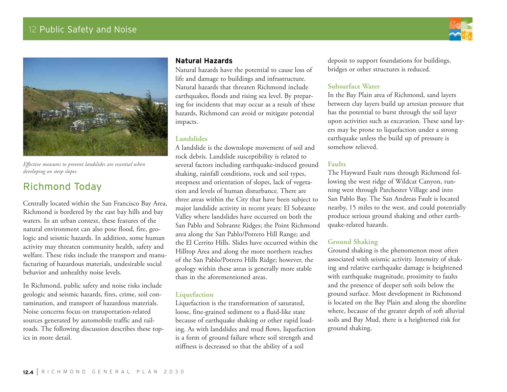# 12 Public Safety and Noise





*Effective measures to prevent landslides are essential when developing on steep slopes.*

# Richmond Today

Centrally located within the San Francisco Bay Area, Richmond is bordered by the east bay hills and bay waters. In an urban context, these features of the natural environment can also pose flood, fire, geologic and seismic hazards. In addition, some human activity may threaten community health, safety and welfare. These risks include the transport and manufacturing of hazardous materials, undesirable social behavior and unhealthy noise levels.

In Richmond, public safety and noise risks include geologic and seismic hazards, fires, crime, soil contamination, and transport of hazardous materials. Noise concerns focus on transportation-related sources generated by automobile traffic and railroads. The following discussion describes these topics in more detail.

#### **Natural Hazards**

Natural hazards have the potential to cause loss of life and damage to buildings and infrastructure. Natural hazards that threaten Richmond include earthquakes, floods and rising sea level. By preparing for incidents that may occur as a result of these hazards, Richmond can avoid or mitigate potential impacts.

#### **Landslides**

A landslide is the downslope movement of soil and rock debris. Landslide susceptibility is related to several factors including earthquake-induced ground shaking, rainfall conditions, rock and soil types, steepness and orientation of slopes, lack of vegetation and levels of human disturbance. There are three areas within the City that have been subject to major landslide activity in recent years: El Sobrante Valley where landslides have occurred on both the San Pablo and Sobrante Ridges; the Point Richmond area along the San Pablo/Potrero Hill Range; and the El Cerrito Hills. Slides have occurred within the Hilltop Area and along the more northern reaches of the San Pablo/Potrero Hills Ridge; however, the geology within these areas is generally more stable than in the aforementioned areas.

#### **Liquefaction**

Liquefaction is the transformation of saturated, loose, fine-grained sediment to a fluid-like state because of earthquake shaking or other rapid loading. As with landslides and mud flows, liquefaction is a form of ground failure where soil strength and stiffness is decreased so that the ability of a soil

deposit to support foundations for buildings, bridges or other structures is reduced.

#### **Subsurface Water**

In the Bay Plain area of Richmond, sand layers between clay layers build up artesian pressure that has the potential to burst through the soil layer upon activities such as excavation. These sand layers may be prone to liquefaction under a strong earthquake unless the build up of pressure is somehow relieved.

#### **Faults**

The Hayward Fault runs through Richmond following the west ridge of Wildcat Canyon, running west through Parchester Village and into San Pablo Bay. The San Andreas Fault is located nearby, 15 miles to the west, and could potentially produce serious ground shaking and other earthquake-related hazards.

#### **Ground Shaking**

Ground shaking is the phenomenon most often associated with seismic activity. Intensity of shaking and relative earthquake damage is heightened with earthquake magnitude, proximity to faults and the presence of deeper soft soils below the ground surface. Most development in Richmond is located on the Bay Plain and along the shoreline where, because of the greater depth of soft alluvial soils and Bay Mud, there is a heightened risk for ground shaking.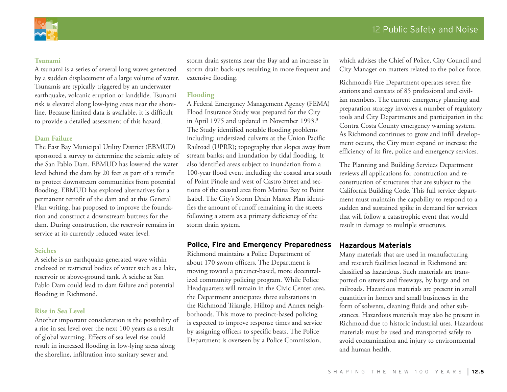



#### **Tsunami**

A tsunami is a series of several long waves generated by a sudden displacement of a large volume of water. Tsunamis are typically triggered by an underwater earthquake, volcanic eruption or landslide. Tsunami risk is elevated along low-lying areas near the shoreline. Because limited data is available, it is difficult to provide a detailed assessment of this hazard.

#### **Dam Failure**

The East Bay Municipal Utility District (EBMUD) sponsored a survey to determine the seismic safety of the San Pablo Dam. EBMUD has lowered the water level behind the dam by 20 feet as part of a retrofit to protect downstream communities from potential flooding. EBMUD has explored alternatives for a permanent retrofit of the dam and at this General Plan writing, has proposed to improve the foundation and construct a downstream buttress for the dam. During construction, the reservoir remains in service at its currently reduced water level.

#### **Seiches**

A seiche is an earthquake-generated wave within enclosed or restricted bodies of water such as a lake, reservoir or above-ground tank. A seiche at San Pablo Dam could lead to dam failure and potential flooding in Richmond.

#### **Rise in Sea Level**

Another important consideration is the possibility of a rise in sea level over the next 100 years as a result of global warming. Effects of sea level rise could result in increased flooding in low-lying areas along the shoreline, infiltration into sanitary sewer and

storm drain systems near the Bay and an increase in storm drain back-ups resulting in more frequent and extensive flooding.

#### **Flooding**

A Federal Emergency Management Agency (FEMA) Flood Insurance Study was prepared for the City in April 1975 and updated in November 1993.<sup>3</sup> The Study identified notable flooding problems including: undersized culverts at the Union Pacific Railroad (UPRR); topography that slopes away from stream banks; and inundation by tidal flooding. It also identified areas subject to inundation from a 100-year flood event including the coastal area south of Point Pinole and west of Castro Street and sections of the coastal area from Marina Bay to Point Isabel. The City's Storm Drain Master Plan identifies the amount of runoff remaining in the streets following a storm as a primary deficiency of the storm drain system.

#### **Police, Fire and Emergency Preparedness**

Richmond maintains a Police Department of about 170 sworn officers. The Department is moving toward a precinct-based, more decentralized community policing program. While Police Headquarters will remain in the Civic Center area, the Department anticipates three substations in the Richmond Triangle, Hilltop and Annex neighborhoods. This move to precinct-based policing is expected to improve response times and service by assigning officers to specific beats. The Police Department is overseen by a Police Commission,

which advises the Chief of Police, City Council and City Manager on matters related to the police force.

Richmond's Fire Department operates seven fire stations and consists of 85 professional and civilian members. The current emergency planning and preparation strategy involves a number of regulatory tools and City Departments and participation in the Contra Costa County emergency warning system. As Richmond continues to grow and infill development occurs, the City must expand or increase the efficiency of its fire, police and emergency services.

The Planning and Building Services Department reviews all applications for construction and reconstruction of structures that are subject to the California Building Code. This full service department must maintain the capability to respond to a sudden and sustained spike in demand for services that will follow a catastrophic event that would result in damage to multiple structures.

#### **Hazardous Materials**

Many materials that are used in manufacturing and research facilities located in Richmond are classified as hazardous. Such materials are transported on streets and freeways, by barge and on railroads. Hazardous materials are present in small quantities in homes and small businesses in the form of solvents, cleaning fluids and other substances. Hazardous materials may also be present in Richmond due to historic industrial uses. Hazardous materials must be used and transported safely to avoid contamination and injury to environmental and human health.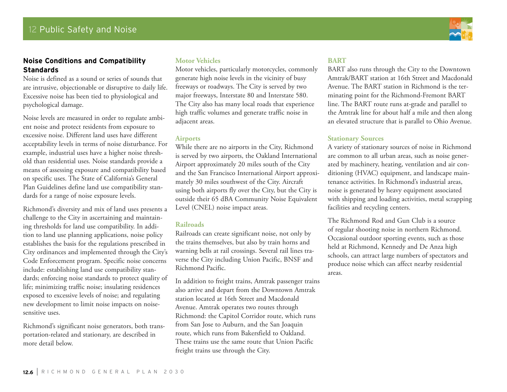#### **Noise Conditions and Compatibility Standards**

Noise is defined as a sound or series of sounds that are intrusive, objectionable or disruptive to daily life. Excessive noise has been tied to physiological and psychological damage.

Noise levels are measured in order to regulate ambient noise and protect residents from exposure to excessive noise. Different land uses have different acceptability levels in terms of noise disturbance. For example, industrial uses have a higher noise threshold than residential uses. Noise standards provide a means of assessing exposure and compatibility based on specific uses. The State of California's General Plan Guidelines define land use compatibility standards for a range of noise exposure levels.

Richmond's diversity and mix of land uses presents a challenge to the City in ascertaining and maintaining thresholds for land use compatibility. In addition to land use planning applications, noise policy establishes the basis for the regulations prescribed in City ordinances and implemented through the City's Code Enforcement program. Specific noise concerns include: establishing land use compatibility standards; enforcing noise standards to protect quality of life; minimizing traffic noise; insulating residences exposed to excessive levels of noise; and regulating new development to limit noise impacts on noisesensitive uses.

Richmond's significant noise generators, both transportation-related and stationary, are described in more detail below.

#### **Motor Vehicles**

Motor vehicles, particularly motorcycles, commonly generate high noise levels in the vicinity of busy freeways or roadways. The City is served by two major freeways, Interstate 80 and Interstate 580. The City also has many local roads that experience high traffic volumes and generate traffic noise in adjacent areas.

#### **Airports**

While there are no airports in the City, Richmond is served by two airports, the Oakland International Airport approximately 20 miles south of the City and the San Francisco International Airport approximately 30 miles southwest of the City. Aircraft using both airports fly over the City, but the City is outside their 65 dBA Community Noise Equivalent Level (CNEL) noise impact areas.

#### **Railroads**

Railroads can create significant noise, not only by the trains themselves, but also by train horns and warning bells at rail crossings. Several rail lines traverse the City including Union Pacific, BNSF and Richmond Pacific.

In addition to freight trains, Amtrak passenger trains also arrive and depart from the Downtown Amtrak station located at 16th Street and Macdonald Avenue. Amtrak operates two routes through Richmond: the Capitol Corridor route, which runs from San Jose to Auburn, and the San Joaquin route, which runs from Bakersfield to Oakland. These trains use the same route that Union Pacific freight trains use through the City.

#### **BART**

BART also runs through the City to the Downtown Amtrak/BART station at 16th Street and Macdonald Avenue. The BART station in Richmond is the terminating point for the Richmond-Fremont BART line. The BART route runs at-grade and parallel to the Amtrak line for about half a mile and then along an elevated structure that is parallel to Ohio Avenue.

#### **Stationary Sources**

A variety of stationary sources of noise in Richmond are common to all urban areas, such as noise generated by machinery, heating, ventilation and air conditioning (HVAC) equipment, and landscape maintenance activities. In Richmond's industrial areas, noise is generated by heavy equipment associated with shipping and loading activities, metal scrapping facilities and recycling centers.

The Richmond Rod and Gun Club is a source of regular shooting noise in northern Richmond. Occasional outdoor sporting events, such as those held at Richmond, Kennedy and De Anza high schools, can attract large numbers of spectators and produce noise which can affect nearby residential areas.

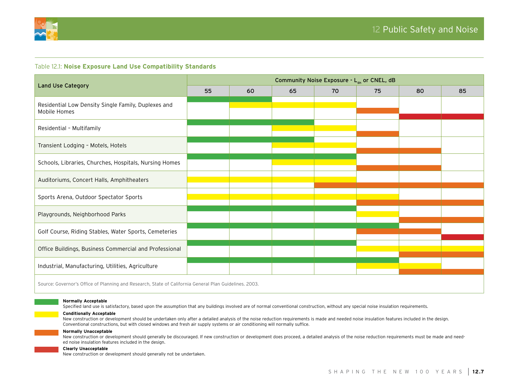

#### Table 12.1: **Noise Exposure Land Use Compatibility Standards**

|                                                                     | Community Noise Exposure - $L_{\text{dn}}$ or CNEL, dB |    |    |    |    |    |    |
|---------------------------------------------------------------------|--------------------------------------------------------|----|----|----|----|----|----|
| <b>Land Use Category</b>                                            | 55                                                     | 60 | 65 | 70 | 75 | 80 | 85 |
| Residential Low Density Single Family, Duplexes and<br>Mobile Homes |                                                        |    |    |    |    |    |    |
| Residential - Multifamily                                           |                                                        |    |    |    |    |    |    |
| Transient Lodging - Motels, Hotels                                  |                                                        |    |    |    |    |    |    |
| Schools, Libraries, Churches, Hospitals, Nursing Homes              |                                                        |    |    |    |    |    |    |
| Auditoriums, Concert Halls, Amphitheaters                           |                                                        |    |    |    |    |    |    |
| Sports Arena, Outdoor Spectator Sports                              |                                                        |    |    |    |    |    |    |
| Playgrounds, Neighborhood Parks                                     |                                                        |    |    |    |    |    |    |
| Golf Course, Riding Stables, Water Sports, Cemeteries               |                                                        |    |    |    |    |    |    |
| Office Buildings, Business Commercial and Professional              |                                                        |    |    |    |    |    |    |
| Industrial, Manufacturing, Utilities, Agriculture                   |                                                        |    |    |    |    |    |    |
| CONTRACT COLLECTED LOLL COLLECTED OF LOLL OF LATER                  |                                                        |    |    |    |    |    |    |

Source: Governor's Office of Planning and Research, State of California General Plan Guidelines. 2003.

#### **Normally Acceptable**

Specified land use is satisfactory, based upon the assumption that any buildings involved are of normal conventional construction, without any special noise insulation requirements.

#### **Conditionally Acceptable**

New construction or development should be undertaken only after a detailed analysis of the noise reduction requirements is made and needed noise insulation features included in the design. Conventional constructions, but with closed windows and fresh air supply systems or air conditioning will normally suffice.

#### **Normally Unacceptable**

New construction or development should generally be discouraged. If new construction or development does proceed, a detailed analysis of the noise reduction requirements must be made and needed noise insulation features included in the design.

#### **Clearly Unacceptable**

New construction or development should generally not be undertaken.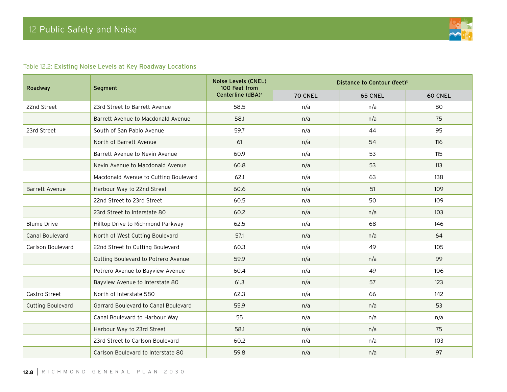

#### Table 12.2: Existing Noise Levels at Key Roadway Locations

| Roadway                  | Segment                               | Noise Levels (CNEL)<br>100 Feet from | Distance to Contour (feet) <sup>b</sup> |                |         |
|--------------------------|---------------------------------------|--------------------------------------|-----------------------------------------|----------------|---------|
|                          |                                       | Centerline (dBA) <sup>a</sup>        | 70 CNEL                                 | <b>65 CNEL</b> | 60 CNEL |
| 22nd Street              | 23rd Street to Barrett Avenue         | 58.5                                 | n/a                                     | n/a            | 80      |
|                          | Barrett Avenue to Macdonald Avenue    | 58.1                                 | n/a                                     | n/a            | 75      |
| 23rd Street              | South of San Pablo Avenue             | 59.7                                 | n/a                                     | 44             | 95      |
|                          | North of Barrett Avenue               | 61                                   | n/a                                     | 54             | 116     |
|                          | Barrett Avenue to Nevin Avenue        | 60.9                                 | n/a                                     | 53             | 115     |
|                          | Nevin Avenue to Macdonald Avenue      | 60.8                                 | n/a                                     | 53             | 113     |
|                          | Macdonald Avenue to Cutting Boulevard | 62.1                                 | n/a                                     | 63             | 138     |
| <b>Barrett Avenue</b>    | Harbour Way to 22nd Street            | 60.6                                 | n/a                                     | 51             | 109     |
|                          | 22nd Street to 23rd Street            | 60.5                                 | n/a                                     | 50             | 109     |
|                          | 23rd Street to Interstate 80          | 60.2                                 | n/a                                     | n/a            | 103     |
| <b>Blume Drive</b>       | Hilltop Drive to Richmond Parkway     | 62.5                                 | n/a                                     | 68             | 146     |
| <b>Canal Boulevard</b>   | North of West Cutting Boulevard       | 57.1                                 | n/a                                     | n/a            | 64      |
| Carlson Boulevard        | 22nd Street to Cutting Boulevard      | 60.3                                 | n/a                                     | 49             | 105     |
|                          | Cutting Boulevard to Potrero Avenue   | 59.9                                 | n/a                                     | n/a            | 99      |
|                          | Potrero Avenue to Bayview Avenue      | 60.4                                 | n/a                                     | 49             | 106     |
|                          | Bayview Avenue to Interstate 80       | 61.3                                 | n/a                                     | 57             | 123     |
| Castro Street            | North of Interstate 580               | 62.3                                 | n/a                                     | 66             | 142     |
| <b>Cutting Boulevard</b> | Garrard Boulevard to Canal Boulevard  | 55.9                                 | n/a                                     | n/a            | 53      |
|                          | Canal Boulevard to Harbour Way        | 55                                   | n/a                                     | n/a            | n/a     |
|                          | Harbour Way to 23rd Street            | 58.1                                 | n/a                                     | n/a            | 75      |
|                          | 23rd Street to Carlson Boulevard      | 60.2                                 | n/a                                     | n/a            | 103     |
|                          | Carlson Boulevard to Interstate 80    | 59.8                                 | n/a                                     | n/a            | 97      |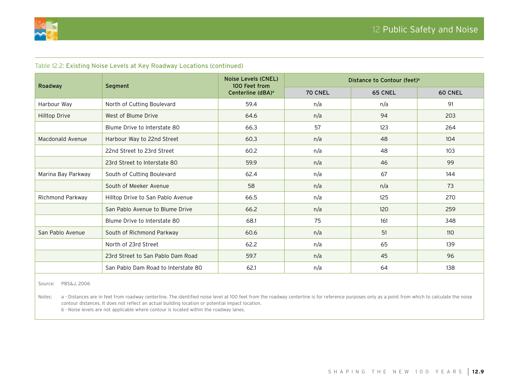

| rable is.s. Existing ivolse Eevels at Key Roadway Eocations (continued) |                                     |                                             |                                         |                |                |  |
|-------------------------------------------------------------------------|-------------------------------------|---------------------------------------------|-----------------------------------------|----------------|----------------|--|
| Roadway                                                                 | Segment                             | <b>Noise Levels (CNEL)</b><br>100 Feet from | Distance to Contour (feet) <sup>b</sup> |                |                |  |
|                                                                         |                                     | Centerline (dBA) <sup>a</sup>               | 70 CNEL                                 | <b>65 CNEL</b> | <b>60 CNEL</b> |  |
| Harbour Way                                                             | North of Cutting Boulevard          | 59.4                                        | n/a                                     | n/a            | 91             |  |
| Hilltop Drive                                                           | West of Blume Drive                 | 64.6                                        | n/a                                     | 94             | 203            |  |
|                                                                         | Blume Drive to Interstate 80        | 66.3                                        | 57                                      | 123            | 264            |  |
| Macdonald Avenue                                                        | Harbour Way to 22nd Street          | 60.3                                        | n/a                                     | 48             | 104            |  |
|                                                                         | 22nd Street to 23rd Street          | 60.2                                        | n/a                                     | 48             | 103            |  |
|                                                                         | 23rd Street to Interstate 80        | 59.9                                        | n/a                                     | 46             | 99             |  |
| Marina Bay Parkway                                                      | South of Cutting Boulevard          | 62.4                                        | n/a                                     | 67             | 144            |  |
|                                                                         | South of Meeker Avenue              | 58                                          | n/a                                     | n/a            | 73             |  |
| Richmond Parkway                                                        | Hilltop Drive to San Pablo Avenue   | 66.5                                        | n/a                                     | 125            | 270            |  |
|                                                                         | San Pablo Avenue to Blume Drive     | 66.2                                        | n/a                                     | 120            | 259            |  |
|                                                                         | Blume Drive to Interstate 80        | 68.1                                        | 75                                      | 161            | 348            |  |
| San Pablo Avenue                                                        | South of Richmond Parkway           | 60.6                                        | n/a                                     | 51             | 110            |  |
|                                                                         | North of 23rd Street                | 62.2                                        | n/a                                     | 65             | 139            |  |
|                                                                         | 23rd Street to San Pablo Dam Road   | 59.7                                        | n/a                                     | 45             | 96             |  |
|                                                                         | San Pablo Dam Road to Interstate 80 | 62.1                                        | n/a                                     | 64             | 138            |  |

Table 12.2: Existing Noise Levels at Key Roadway Locations (continued)

Source: PBS&J, 2006

Notes: a - Distances are in feet from roadway centerline. The identified noise level at 100 feet from the roadway centerline is for reference purposes only as a point from which to calculate the noise contour distances. It does not reflect an actual building location or potential impact location.

b - Noise levels are not applicable where contour is located within the roadway lanes.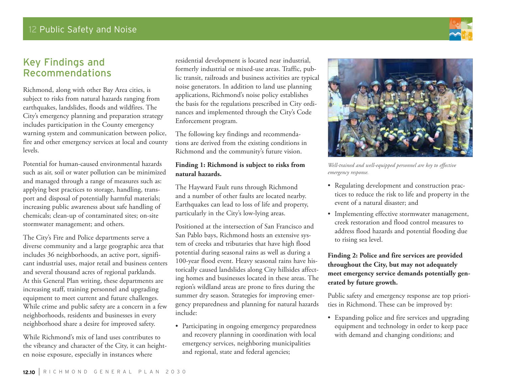# Key Findings and Recommendations

Richmond, along with other Bay Area cities, is subject to risks from natural hazards ranging from earthquakes, landslides, floods and wildfires. The City's emergency planning and preparation strategy includes participation in the County emergency warning system and communication between police, fire and other emergency services at local and county levels.

Potential for human-caused environmental hazards such as air, soil or water pollution can be minimized and managed through a range of measures such as: applying best practices to storage, handling, transport and disposal of potentially harmful materials; increasing public awareness about safe handling of chemicals; clean-up of contaminated sites; on-site stormwater management; and others.

The City's Fire and Police departments serve a diverse community and a large geographic area that includes 36 neighborhoods, an active port, significant industrial uses, major retail and business centers and several thousand acres of regional parklands. At this General Plan writing, these departments are increasing staff, training personnel and upgrading equipment to meet current and future challenges. While crime and public safety are a concern in a few neighborhoods, residents and businesses in every neighborhood share a desire for improved safety.

While Richmond's mix of land uses contributes to the vibrancy and character of the City, it can heighten noise exposure, especially in instances where

residential development is located near industrial, formerly industrial or mixed-use areas. Traffic, public transit, railroads and business activities are typical noise generators. In addition to land use planning applications, Richmond's noise policy establishes the basis for the regulations prescribed in City ordinances and implemented through the City's Code Enforcement program.

The following key findings and recommendations are derived from the existing conditions in Richmond and the community's future vision.

#### **Finding 1: Richmond is subject to risks from natural hazards.**

The Hayward Fault runs through Richmond and a number of other faults are located nearby. Earthquakes can lead to loss of life and property, particularly in the City's low-lying areas.

Positioned at the intersection of San Francisco and San Pablo bays, Richmond hosts an extensive system of creeks and tributaries that have high flood potential during seasonal rains as well as during a 100-year flood event. Heavy seasonal rains have historically caused landslides along City hillsides affecting homes and businesses located in these areas. The region's wildland areas are prone to fires during the summer dry season. Strategies for improving emergency preparedness and planning for natural hazards include:

• Participating in ongoing emergency preparedness and recovery planning in coordination with local emergency services, neighboring municipalities and regional, state and federal agencies;

*Well-trained and well-equipped personnel are key to effective* 

• Regulating development and construction practices to reduce the risk to life and property in the event of a natural disaster; and

*emergency response.*

• Implementing effective stormwater management, creek restoration and flood control measures to address flood hazards and potential flooding due to rising sea level.

**Finding 2: Police and fire services are provided throughout the City, but may not adequately meet emergency service demands potentially generated by future growth.** 

Public safety and emergency response are top priorities in Richmond. These can be improved by:

• Expanding police and fire services and upgrading equipment and technology in order to keep pace with demand and changing conditions; and

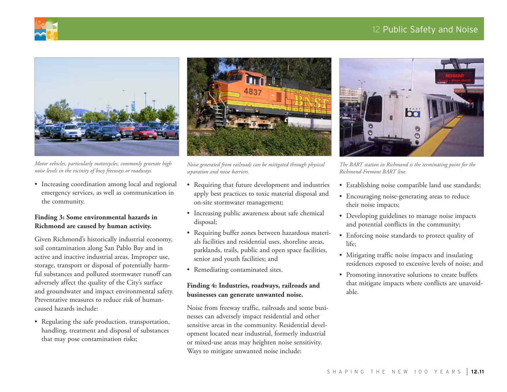## 12 Public Safety and Noise





*Motor vehicles, particularly motorcycles, commonly generate high noise levels in the vicinity of busy freeways or roadways.*

• Increasing coordination among local and regional emergency services, as well as communication in the community.

#### **Finding 3: Some environmental hazards in Richmond are caused by human activity.**

Given Richmond's historically industrial economy, soil contamination along San Pablo Bay and in active and inactive industrial areas. Improper use, storage, transport or disposal of potentially harmful substances and polluted stormwater runoff can adversely affect the quality of the City's surface and groundwater and impact environmental safety. Preventative measures to reduce risk of humancaused hazards include:

• Regulating the safe production, transportation, handling, treatment and disposal of substances that may pose contamination risks;



*Noise generated from railroads can be mitigated through physical separation and noise barriers.*

- Requiring that future development and industries apply best practices to toxic material disposal and on-site stormwater management;
- Increasing public awareness about safe chemical disposal;
- • Requiring buffer zones between hazardous materials facilities and residential uses, shoreline areas, parklands, trails, public and open space facilities, senior and youth facilities; and
- Remediating contaminated sites.

#### **Finding 4: Industries, roadways, railroads and businesses can generate unwanted noise.**

Noise from freeway traffic, railroads and some businesses can adversely impact residential and other sensitive areas in the community. Residential development located near industrial, formerly industrial or mixed-use areas may heighten noise sensitivity. Ways to mitigate unwanted noise include:



*The BART station in Richmond is the terminating point for the Richmond-Fremont BART line.*

- Establishing noise compatible land use standards;
- • Encouraging noise-generating areas to reduce their noise impacts;
- Developing guidelines to manage noise impacts and potential conflicts in the community;
- Enforcing noise standards to protect quality of life;
- Mitigating traffic noise impacts and insulating residences exposed to excessive levels of noise; and
- • Promoting innovative solutions to create buffers that mitigate impacts where conflicts are unavoidable.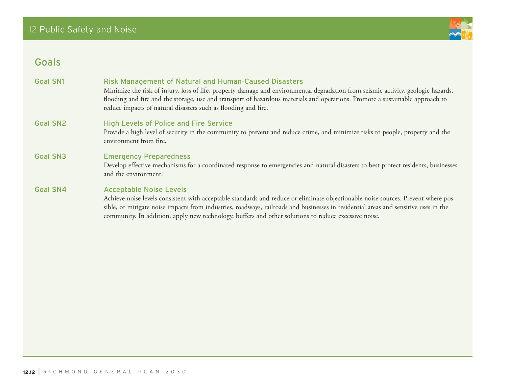

# Goals

| <b>Goal SN1</b> | <b>Risk Management of Natural and Human-Caused Disasters</b><br>Minimize the risk of injury, loss of life, property damage and environmental degradation from seismic activity, geologic hazards,<br>flooding and fire and the storage, use and transport of hazardous materials and operations. Promote a sustainable approach to<br>reduce impacts of natural disasters such as flooding and fire.               |
|-----------------|--------------------------------------------------------------------------------------------------------------------------------------------------------------------------------------------------------------------------------------------------------------------------------------------------------------------------------------------------------------------------------------------------------------------|
| <b>Goal SN2</b> | <b>High Levels of Police and Fire Service</b><br>Provide a high level of security in the community to prevent and reduce crime, and minimize risks to people, property and the<br>environment from fire.                                                                                                                                                                                                           |
| <b>Goal SN3</b> | <b>Emergency Preparedness</b><br>Develop effective mechanisms for a coordinated response to emergencies and natural disasters to best protect residents, businesses<br>and the environment.                                                                                                                                                                                                                        |
| <b>Goal SN4</b> | <b>Acceptable Noise Levels</b><br>Achieve noise levels consistent with acceptable standards and reduce or eliminate objectionable noise sources. Prevent where pos-<br>sible, or mitigate noise impacts from industries, roadways, railroads and businesses in residential areas and sensitive uses in the<br>community. In addition, apply new technology, buffers and other solutions to reduce excessive noise. |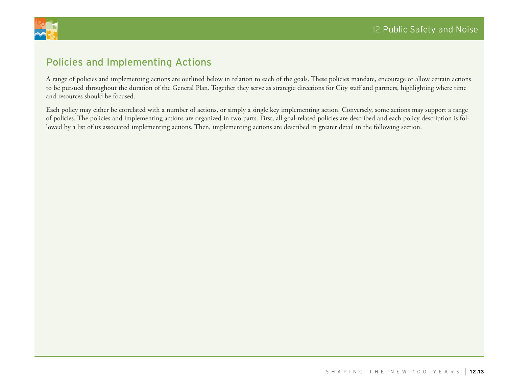

# Policies and Implementing Actions

A range of policies and implementing actions are outlined below in relation to each of the goals. These policies mandate, encourage or allow certain actions to be pursued throughout the duration of the General Plan. Together they serve as strategic directions for City staff and partners, highlighting where time and resources should be focused.

Each policy may either be correlated with a number of actions, or simply a single key implementing action. Conversely, some actions may support a range of policies. The policies and implementing actions are organized in two parts. First, all goal-related policies are described and each policy description is followed by a list of its associated implementing actions. Then, implementing actions are described in greater detail in the following section.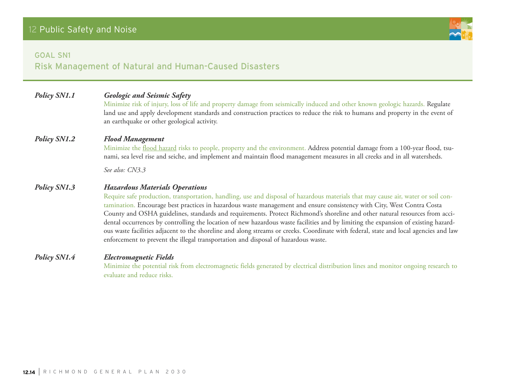## Goal SN1

Risk Management of Natural and Human-Caused Disasters

| Policy SN1.1 | <b>Geologic and Seismic Safety</b><br>Minimize risk of injury, loss of life and property damage from seismically induced and other known geologic hazards. Regulate<br>land use and apply development standards and construction practices to reduce the risk to humans and property in the event of<br>an earthquake or other geological activity.                                                                                                                                                                                                                                                                                                                                                                                                                                                      |
|--------------|----------------------------------------------------------------------------------------------------------------------------------------------------------------------------------------------------------------------------------------------------------------------------------------------------------------------------------------------------------------------------------------------------------------------------------------------------------------------------------------------------------------------------------------------------------------------------------------------------------------------------------------------------------------------------------------------------------------------------------------------------------------------------------------------------------|
| Policy SN1.2 | <b>Flood Management</b><br>Minimize the flood hazard risks to people, property and the environment. Address potential damage from a 100-year flood, tsu-<br>nami, sea level rise and seiche, and implement and maintain flood management measures in all creeks and in all watersheds.                                                                                                                                                                                                                                                                                                                                                                                                                                                                                                                   |
|              | See also: CN3.3                                                                                                                                                                                                                                                                                                                                                                                                                                                                                                                                                                                                                                                                                                                                                                                          |
| Policy SN1.3 | <b>Hazardous Materials Operations</b><br>Require safe production, transportation, handling, use and disposal of hazardous materials that may cause air, water or soil con-<br>tamination. Encourage best practices in hazardous waste management and ensure consistency with City, West Contra Costa<br>County and OSHA guidelines, standards and requirements. Protect Richmond's shoreline and other natural resources from acci-<br>dental occurrences by controlling the location of new hazardous waste facilities and by limiting the expansion of existing hazard-<br>ous waste facilities adjacent to the shoreline and along streams or creeks. Coordinate with federal, state and local agencies and law<br>enforcement to prevent the illegal transportation and disposal of hazardous waste. |
| Policy SN1.4 | <b>Electromagnetic Fields</b><br>Minimize the potential rick from electromeonetic fields congreted by electrical distribution lines and monitor opocing research to                                                                                                                                                                                                                                                                                                                                                                                                                                                                                                                                                                                                                                      |

Minimize the potential risk from electromagnetic fields generated by electrical distribution lines and monitor ongoing research to evaluate and reduce risks.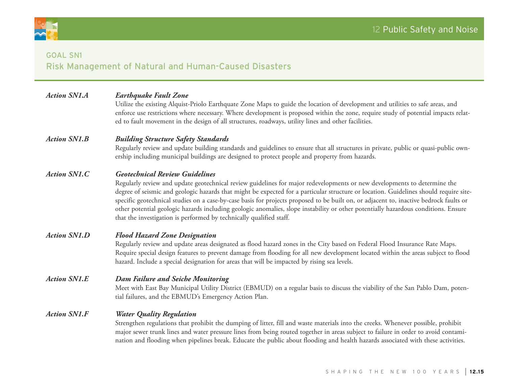

# Goal SN1 Risk Management of Natural and Human-Caused Disasters

| <b>Action SN1.A</b> | <b>Earthquake Fault Zone</b> |
|---------------------|------------------------------|
|---------------------|------------------------------|

Utilize the existing Alquist-Priolo Earthquate Zone Maps to guide the location of development and utilities to safe areas, and enforce use restrictions where necessary. Where development is proposed within the zone, require study of potential impacts related to fault movement in the design of all structures, roadways, utility lines and other facilities.

#### *Action SN1.B Building Structure Safety Standards*

Regularly review and update building standards and guidelines to ensure that all structures in private, public or quasi-public ownership including municipal buildings are designed to protect people and property from hazards.

#### *Action SN1.C Geotechnical Review Guidelines*

Regularly review and update geotechnical review guidelines for major redevelopments or new developments to determine the degree of seismic and geologic hazards that might be expected for a particular structure or location. Guidelines should require sitespecific geotechnical studies on a case-by-case basis for projects proposed to be built on, or adjacent to, inactive bedrock faults or other potential geologic hazards including geologic anomalies, slope instability or other potentially hazardous conditions. Ensure that the investigation is performed by technically qualified staff.

#### *Action SN1.D Flood Hazard Zone Designation*

Regularly review and update areas designated as flood hazard zones in the City based on Federal Flood Insurance Rate Maps. Require special design features to prevent damage from flooding for all new development located within the areas subject to flood hazard. Include a special designation for areas that will be impacted by rising sea levels.

#### *Action SN1.E Dam Failure and Seiche Monitoring*

Meet with East Bay Municipal Utility District (EBMUD) on a regular basis to discuss the viability of the San Pablo Dam, potential failures, and the EBMUD's Emergency Action Plan.

#### *Action SN1.F Water Quality Regulation*

Strengthen regulations that prohibit the dumping of litter, fill and waste materials into the creeks. Whenever possible, prohibit major sewer trunk lines and water pressure lines from being routed together in areas subject to failure in order to avoid contamination and flooding when pipelines break. Educate the public about flooding and health hazards associated with these activities.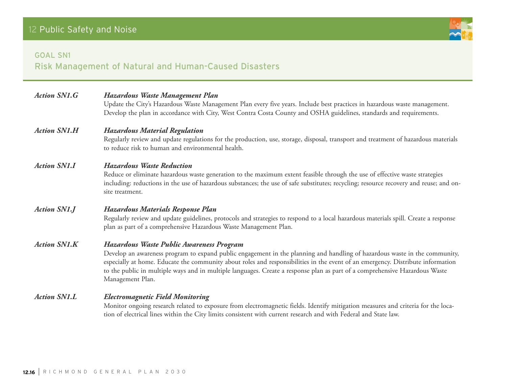## Goal SN1

Risk Management of Natural and Human-Caused Disasters

| <b>Action SN1.G</b> | Hazardous Waste Management Plan<br>Update the City's Hazardous Waste Management Plan every five years. Include best practices in hazardous waste management.<br>Develop the plan in accordance with City, West Contra Costa County and OSHA guidelines, standards and requirements.                                                                                                                                                                          |
|---------------------|--------------------------------------------------------------------------------------------------------------------------------------------------------------------------------------------------------------------------------------------------------------------------------------------------------------------------------------------------------------------------------------------------------------------------------------------------------------|
| <b>Action SN1.H</b> | <b>Hazardous Material Regulation</b><br>Regularly review and update regulations for the production, use, storage, disposal, transport and treatment of hazardous materials<br>to reduce risk to human and environmental health.                                                                                                                                                                                                                              |
| <b>Action SN1.I</b> | <b>Hazardous Waste Reduction</b><br>Reduce or eliminate hazardous waste generation to the maximum extent feasible through the use of effective waste strategies<br>including: reductions in the use of hazardous substances; the use of safe substitutes; recycling; resource recovery and reuse; and on-<br>site treatment.                                                                                                                                 |
| <b>Action SN1.J</b> | Hazardous Materials Response Plan<br>Regularly review and update guidelines, protocols and strategies to respond to a local hazardous materials spill. Create a response<br>plan as part of a comprehensive Hazardous Waste Management Plan.                                                                                                                                                                                                                 |
| <b>Action SN1.K</b> | Hazardous Waste Public Awareness Program<br>Develop an awareness program to expand public engagement in the planning and handling of hazardous waste in the community,<br>especially at home. Educate the community about roles and responsibilities in the event of an emergency. Distribute information<br>to the public in multiple ways and in multiple languages. Create a response plan as part of a comprehensive Hazardous Waste<br>Management Plan. |
| <b>Action SN1.L</b> | <b>Electromagnetic Field Monitoring</b><br>Monitor ongoing research related to exposure from electromagnetic fields. Identify mitigation measures and criteria for the loca-<br>tion of electrical lines within the City limits consistent with current research and with Federal and State law.                                                                                                                                                             |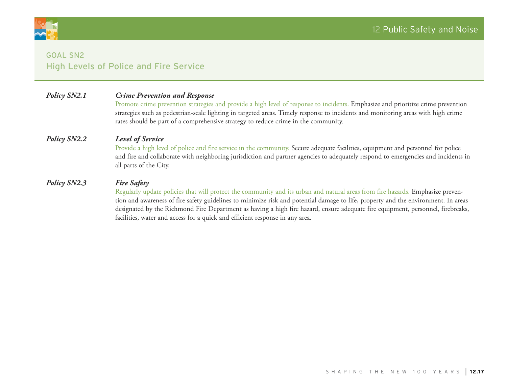

# Goal SN2 High Levels of Police and Fire Service

#### *Policy SN2.1 Crime Prevention and Response*

Promote crime prevention strategies and provide a high level of response to incidents. Emphasize and prioritize crime prevention strategies such as pedestrian-scale lighting in targeted areas. Timely response to incidents and monitoring areas with high crime rates should be part of a comprehensive strategy to reduce crime in the community.

#### *Policy SN2.2 Level of Service*

Provide a high level of police and fire service in the community. Secure adequate facilities, equipment and personnel for police and fire and collaborate with neighboring jurisdiction and partner agencies to adequately respond to emergencies and incidents in all parts of the City.

#### *Policy SN2.3 Fire Safety*

Regularly update policies that will protect the community and its urban and natural areas from fire hazards. Emphasize prevention and awareness of fire safety guidelines to minimize risk and potential damage to life, property and the environment. In areas designated by the Richmond Fire Department as having a high fire hazard, ensure adequate fire equipment, personnel, firebreaks, facilities, water and access for a quick and efficient response in any area.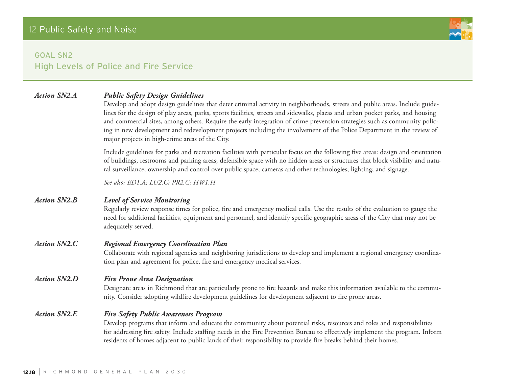

# Goal SN2 High Levels of Police and Fire Service

## *Action SN2.A Public Safety Design Guidelines*

Develop and adopt design guidelines that deter criminal activity in neighborhoods, streets and public areas. Include guidelines for the design of play areas, parks, sports facilities, streets and sidewalks, plazas and urban pocket parks, and housing and commercial sites, among others. Require the early integration of crime prevention strategies such as community policing in new development and redevelopment projects including the involvement of the Police Department in the review of major projects in high-crime areas of the City.

Include guidelines for parks and recreation facilities with particular focus on the following five areas: design and orientation of buildings, restrooms and parking areas; defensible space with no hidden areas or structures that block visibility and natural surveillance; ownership and control over public space; cameras and other technologies; lighting; and signage.

*See also: ED1.A; LU2.C; PR2.C; HW1.H* 

#### *Action SN2.B Level of Service Monitoring*

Regularly review response times for police, fire and emergency medical calls. Use the results of the evaluation to gauge the need for additional facilities, equipment and personnel, and identify specific geographic areas of the City that may not be adequately served.

#### *Action SN2.C Regional Emergency Coordination Plan*

Collaborate with regional agencies and neighboring jurisdictions to develop and implement a regional emergency coordination plan and agreement for police, fire and emergency medical services.

#### *Action SN2.D Fire Prone Area Designation*

Designate areas in Richmond that are particularly prone to fire hazards and make this information available to the community. Consider adopting wildfire development guidelines for development adjacent to fire prone areas.

#### *Action SN2.E Fire Safety Public Awareness Program*

Develop programs that inform and educate the community about potential risks, resources and roles and responsibilities for addressing fire safety. Include staffing needs in the Fire Prevention Bureau to effectively implement the program. Inform residents of homes adjacent to public lands of their responsibility to provide fire breaks behind their homes.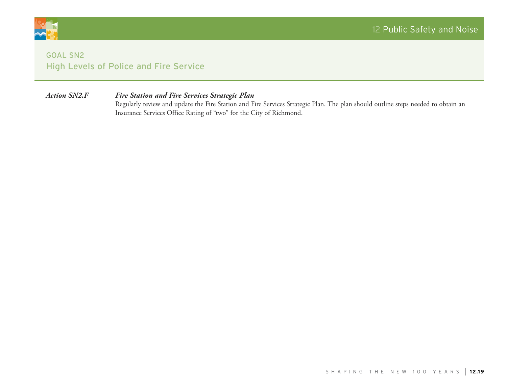

# **GOAL SN2** High Levels of Police and Fire Service

#### *Action SN2.F Fire Station and Fire Services Strategic Plan*

Regularly review and update the Fire Station and Fire Services Strategic Plan. The plan should outline steps needed to obtain an Insurance Services Office Rating of "two" for the City of Richmond.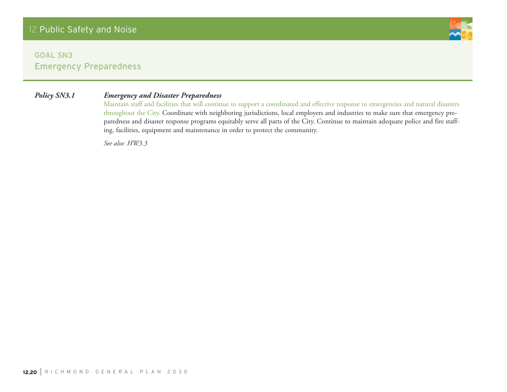# Goal SN3 Emergency Preparedness

#### *Policy SN3.1 Emergency and Disaster Preparedness*

Maintain staff and facilities that will continue to support a coordinated and effective response to emergencies and natural disasters throughout the City. Coordinate with neighboring jurisdictions, local employers and industries to make sure that emergency preparedness and disaster response programs equitably serve all parts of the City. Continue to maintain adequate police and fire staffing, facilities, equipment and maintenance in order to protect the community.

*See also: HW3.3*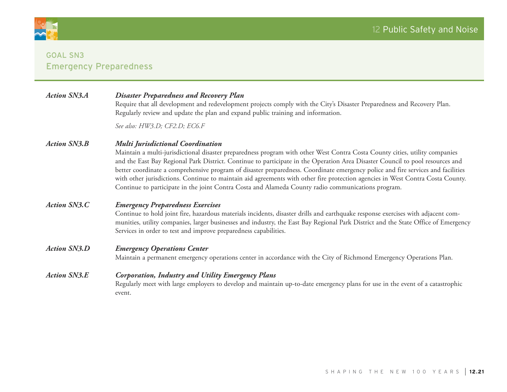

# Goal SN3 Emergency Preparedness

| <b>Action SN3.A</b> | <b>Disaster Preparedness and Recovery Plan</b> |  |
|---------------------|------------------------------------------------|--|
|---------------------|------------------------------------------------|--|

Require that all development and redevelopment projects comply with the City's Disaster Preparedness and Recovery Plan. Regularly review and update the plan and expand public training and information.

*See also: HW3.D; CF2.D; EC6.F*

#### *Action SN3.B Multi Jurisdictional Coordination*

Maintain a multi-jurisdictional disaster preparedness program with other West Contra Costa County cities, utility companies and the East Bay Regional Park District. Continue to participate in the Operation Area Disaster Council to pool resources and better coordinate a comprehensive program of disaster preparedness. Coordinate emergency police and fire services and facilities with other jurisdictions. Continue to maintain aid agreements with other fire protection agencies in West Contra Costa County. Continue to participate in the joint Contra Costa and Alameda County radio communications program.

#### *Action SN3.C Emergency Preparedness Exercises*

Continue to hold joint fire, hazardous materials incidents, disaster drills and earthquake response exercises with adjacent communities, utility companies, larger businesses and industry, the East Bay Regional Park District and the State Office of Emergency Services in order to test and improve preparedness capabilities.

#### *Action SN3.D Emergency Operations Center*

Maintain a permanent emergency operations center in accordance with the City of Richmond Emergency Operations Plan.

#### *Action SN3.E Corporation, Industry and Utility Emergency Plans* Regularly meet with large employers to develop and maintain up-to-date emergency plans for use in the event of a catastrophic event.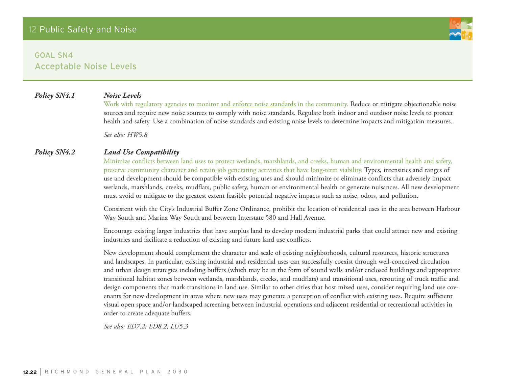*Policy SN4.1 Noise Levels*

Work with regulatory agencies to monitor and enforce noise standards in the community. Reduce or mitigate objectionable noise sources and require new noise sources to comply with noise standards. Regulate both indoor and outdoor noise levels to protect health and safety. Use a combination of noise standards and existing noise levels to determine impacts and mitigation measures.

*See also: HW9.8*

#### *Policy SN4.2 Land Use Compatibility*

Minimize conflicts between land uses to protect wetlands, marshlands, and creeks, human and environmental health and safety, preserve community character and retain job generating activities that have long-term viability. Types, intensities and ranges of use and development should be compatible with existing uses and should minimize or eliminate conflicts that adversely impact wetlands, marshlands, creeks, mudflats, public safety, human or environmental health or generate nuisances. All new development must avoid or mitigate to the greatest extent feasible potential negative impacts such as noise, odors, and pollution.

Consistent with the City's Industrial Buffer Zone Ordinance, prohibit the location of residential uses in the area between Harbour Way South and Marina Way South and between Interstate 580 and Hall Avenue.

Encourage existing larger industries that have surplus land to develop modern industrial parks that could attract new and existing industries and facilitate a reduction of existing and future land use conflicts.

New development should complement the character and scale of existing neighborhoods, cultural resources, historic structures and landscapes. In particular, existing industrial and residential uses can successfully coexist through well-conceived circulation and urban design strategies including buffers (which may be in the form of sound walls and/or enclosed buildings and appropriate transitional habitat zones between wetlands, marshlands, creeks, and mudflats) and transitional uses, rerouting of truck traffic and design components that mark transitions in land use. Similar to other cities that host mixed uses, consider requiring land use covenants for new development in areas where new uses may generate a perception of conflict with existing uses. Require sufficient visual open space and/or landscaped screening between industrial operations and adjacent residential or recreational activities in order to create adequate buffers.

*See also: ED7.2; ED8.2; LU5.3*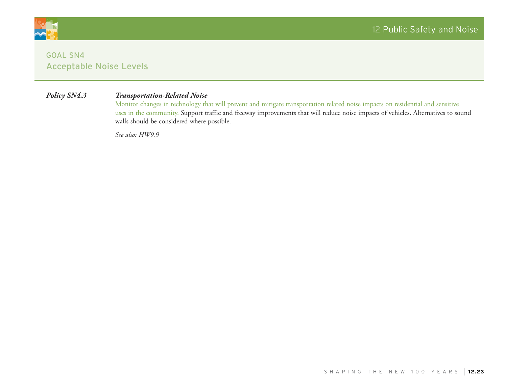

### *Policy SN4.3 Transportation-Related Noise*

Monitor changes in technology that will prevent and mitigate transportation related noise impacts on residential and sensitive uses in the community. Support traffic and freeway improvements that will reduce noise impacts of vehicles. Alternatives to sound walls should be considered where possible.

*See also: HW9.9*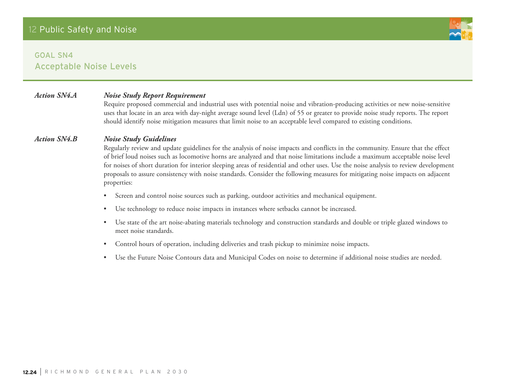#### *Action SN4.A Noise Study Report Requirement*

Require proposed commercial and industrial uses with potential noise and vibration-producing activities or new noise-sensitive uses that locate in an area with day-night average sound level (Ldn) of 55 or greater to provide noise study reports. The report should identify noise mitigation measures that limit noise to an acceptable level compared to existing conditions.

#### *Action SN4.B Noise Study Guidelines*

Regularly review and update guidelines for the analysis of noise impacts and conflicts in the community. Ensure that the effect of brief loud noises such as locomotive horns are analyzed and that noise limitations include a maximum acceptable noise level for noises of short duration for interior sleeping areas of residential and other uses. Use the noise analysis to review development proposals to assure consistency with noise standards. Consider the following measures for mitigating noise impacts on adjacent properties:

- • Screen and control noise sources such as parking, outdoor activities and mechanical equipment.
- • Use technology to reduce noise impacts in instances where setbacks cannot be increased.
- • Use state of the art noise-abating materials technology and construction standards and double or triple glazed windows to meet noise standards.
- Control hours of operation, including deliveries and trash pickup to minimize noise impacts.
- • Use the Future Noise Contours data and Municipal Codes on noise to determine if additional noise studies are needed.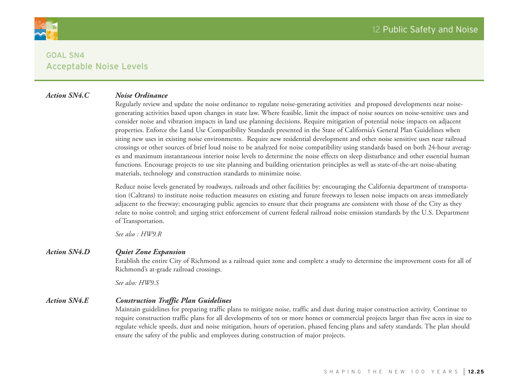

#### *Action SN4.C Noise Ordinance*

Regularly review and update the noise ordinance to regulate noise-generating activities and proposed developments near noisegenerating activities based upon changes in state law. Where feasible, limit the impact of noise sources on noise-sensitive uses and consider noise and vibration impacts in land use planning decisions. Require mitigation of potential noise impacts on adjacent properties. Enforce the Land Use Compatibility Standards presented in the State of California's General Plan Guidelines when siting new uses in existing noise environments. Require new residential development and other noise sensitive uses near railroad crossings or other sources of brief loud noise to be analyzed for noise compatibility using standards based on both 24-hour averages and maximum instantaneous interior noise levels to determine the noise effects on sleep disturbance and other essential human functions. Encourage projects to use site planning and building orientation principles as well as state-of-the-art noise-abating materials, technology and construction standards to minimize noise.

Reduce noise levels generated by roadways, railroads and other facilities by: encouraging the California department of transportation (Caltrans) to institute noise reduction measures on existing and future freeways to lessen noise impacts on areas immediately adjacent to the freeway; encouraging public agencies to ensure that their programs are consistent with those of the City as they relate to noise control; and urging strict enforcement of current federal railroad noise emission standards by the U.S. Department of Transportation.

*See also : HW9.R*

#### *Action SN4.D Quiet Zone Expansion*

Establish the entire City of Richmond as a railroad quiet zone and complete a study to determine the improvement costs for all of Richmond's at-grade railroad crossings.

*See also: HW9.S*

#### *Action SN4.E Construction Traffic Plan Guidelines*

Maintain guidelines for preparing traffic plans to mitigate noise, traffic and dust during major construction activity. Continue to require construction traffic plans for all developments of ten or more homes or commercial projects larger than five acres in size to regulate vehicle speeds, dust and noise mitigation, hours of operation, phased fencing plans and safety standards. The plan should ensure the safety of the public and employees during construction of major projects.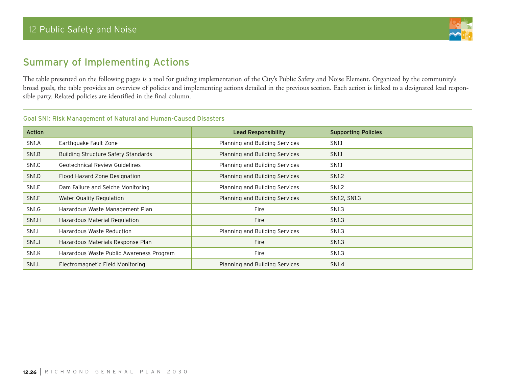

# Summary of Implementing Actions

The table presented on the following pages is a tool for guiding implementation of the City's Public Safety and Noise Element. Organized by the community's broad goals, the table provides an overview of policies and implementing actions detailed in the previous section. Each action is linked to a designated lead responsible party. Related policies are identified in the final column.

#### Goal SN1: Risk Management of Natural and Human-Caused Disasters

| Action             |                                            | <b>Lead Responsibility</b>     | <b>Supporting Policies</b> |
|--------------------|--------------------------------------------|--------------------------------|----------------------------|
| SN <sub>1</sub> .A | Earthquake Fault Zone                      | Planning and Building Services | SN <sub>1.1</sub>          |
| SN <sub>1.</sub> B | <b>Building Structure Safety Standards</b> | Planning and Building Services | <b>SN1.1</b>               |
| SN <sub>1.C</sub>  | <b>Geotechnical Review Guidelines</b>      | Planning and Building Services | SN <sub>1.1</sub>          |
| SN <sub>1</sub> .D | Flood Hazard Zone Designation              | Planning and Building Services | SN <sub>1.2</sub>          |
| SN <sub>1.E</sub>  | Dam Failure and Seiche Monitoring          | Planning and Building Services | SN <sub>1.2</sub>          |
| SN <sub>1.F</sub>  | Water Quality Regulation                   | Planning and Building Services | SN1.2, SN1.3               |
| SN1.G              | Hazardous Waste Management Plan            | Fire                           | SN <sub>1.3</sub>          |
| SN1.H              | Hazardous Material Regulation              | Fire                           | SN <sub>1.3</sub>          |
| <b>SN1.I</b>       | Hazardous Waste Reduction                  | Planning and Building Services | SN <sub>1.3</sub>          |
| SN <sub>1.J</sub>  | Hazardous Materials Response Plan          | Fire                           | <b>SN1.3</b>               |
| SN <sub>1</sub> K  | Hazardous Waste Public Awareness Program   | Fire                           | SN <sub>1.3</sub>          |
| SN <sub>1</sub> .L | Electromagnetic Field Monitoring           | Planning and Building Services | <b>SN1.4</b>               |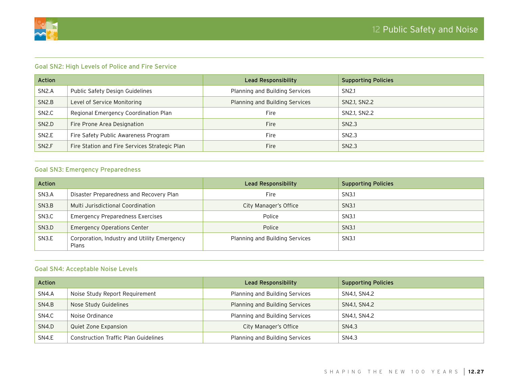

#### Goal SN2: High Levels of Police and Fire Service

| <b>Action</b>      |                                               | Lead Responsibility            | <b>Supporting Policies</b> |
|--------------------|-----------------------------------------------|--------------------------------|----------------------------|
| SN2.A              | Public Safety Design Guidelines               | Planning and Building Services | SN <sub>2.1</sub>          |
| SN2.B              | Level of Service Monitoring                   | Planning and Building Services | SN2.1, SN2.2               |
| SN <sub>2</sub> .C | Regional Emergency Coordination Plan          | Fire                           | SN2.1, SN2.2               |
| SN2.D              | Fire Prone Area Designation                   | <b>Fire</b>                    | SN <sub>2.3</sub>          |
| SN2.E              | Fire Safety Public Awareness Program          | <b>Fire</b>                    | SN <sub>2.3</sub>          |
| SN <sub>2</sub> .F | Fire Station and Fire Services Strategic Plan | <b>Fire</b>                    | SN <sub>2.3</sub>          |

#### Goal SN3: Emergency Preparedness

| <b>Action</b>      |                                                      | Lead Responsibility            | <b>Supporting Policies</b> |
|--------------------|------------------------------------------------------|--------------------------------|----------------------------|
| SN <sub>3</sub> .A | Disaster Preparedness and Recovery Plan              | Fire                           | SN3.1                      |
| SN3.B              | Multi Jurisdictional Coordination                    | City Manager's Office          | SN3.1                      |
| SN <sub>3</sub> .C | <b>Emergency Preparedness Exercises</b>              | Police                         | SN3.1                      |
| SN3.D              | <b>Emergency Operations Center</b>                   | Police                         | SN3.1                      |
| SN <sub>3.E</sub>  | Corporation, Industry and Utility Emergency<br>Plans | Planning and Building Services | SN3.1                      |

#### Goal SN4: Acceptable Noise Levels

| <b>Action</b> |                                             | Lead Responsibility            | <b>Supporting Policies</b> |
|---------------|---------------------------------------------|--------------------------------|----------------------------|
| SN4.A         | Noise Study Report Requirement              | Planning and Building Services | SN4.1, SN4.2               |
| SN4.B         | Nose Study Guidelines                       | Planning and Building Services | SN4.1, SN4.2               |
| SN4.C         | Noise Ordinance                             | Planning and Building Services | SN4.1, SN4.2               |
| SN4.D         | Quiet Zone Expansion                        | City Manager's Office          | SN4.3                      |
| SN4.E         | <b>Construction Traffic Plan Guidelines</b> | Planning and Building Services | SN4.3                      |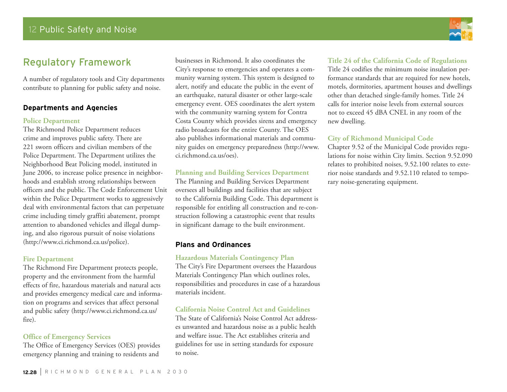# Regulatory Framework

A number of regulatory tools and City departments contribute to planning for public safety and noise.

#### **Departments and Agencies**

#### **Police Department**

The Richmond Police Department reduces crime and improves public safety. There are 221 sworn officers and civilian members of the Police Department. The Department utilizes the Neighborhood Beat Policing model, instituted in June 2006, to increase police presence in neighborhoods and establish strong relationships between officers and the public. The Code Enforcement Unit within the Police Department works to aggressively deal with environmental factors that can perpetuate crime including timely graffiti abatement, prompt attention to abandoned vehicles and illegal dumping, and also rigorous pursuit of noise violations (http://www.ci.richmond.ca.us/police).

#### **Fire Department**

The Richmond Fire Department protects people, property and the environment from the harmful effects of fire, hazardous materials and natural acts and provides emergency medical care and information on programs and services that affect personal and public safety (http://www.ci.richmond.ca.us/ fire).

#### **Office of Emergency Services**

The Office of Emergency Services (OES) provides emergency planning and training to residents and

businesses in Richmond. It also coordinates the City's response to emergencies and operates a community warning system. This system is designed to alert, notify and educate the public in the event of an earthquake, natural disaster or other large-scale emergency event. OES coordinates the alert system with the community warning system for Contra Costa County which provides sirens and emergency radio broadcasts for the entire County. The OES also publishes informational materials and community guides on emergency preparedness (http://www. ci.richmond.ca.us/oes).

#### **Planning and Building Services Department**

The Planning and Building Services Department oversees all buildings and facilities that are subject to the California Building Code. This department is responsible for entitling all construction and re-construction following a catastrophic event that results in significant damage to the built environment.

#### **Plans and Ordinances**

#### **Hazardous Materials Contingency Plan**

The City's Fire Department oversees the Hazardous Materials Contingency Plan which outlines roles, responsibilities and procedures in case of a hazardous materials incident.

#### **California Noise Control Act and Guidelines**

The State of California's Noise Control Act addresses unwanted and hazardous noise as a public health and welfare issue. The Act establishes criteria and guidelines for use in setting standards for exposure to noise.

#### **Title 24 of the California Code of Regulations**

Title 24 codifies the minimum noise insulation performance standards that are required for new hotels, motels, dormitories, apartment houses and dwellings other than detached single-family homes. Title 24 calls for interior noise levels from external sources not to exceed 45 dBA CNEL in any room of the new dwelling.

#### **City of Richmond Municipal Code**

Chapter 9.52 of the Municipal Code provides regulations for noise within City limits. Section 9.52.090 relates to prohibited noises, 9.52.100 relates to exterior noise standards and 9.52.110 related to temporary noise-generating equipment.

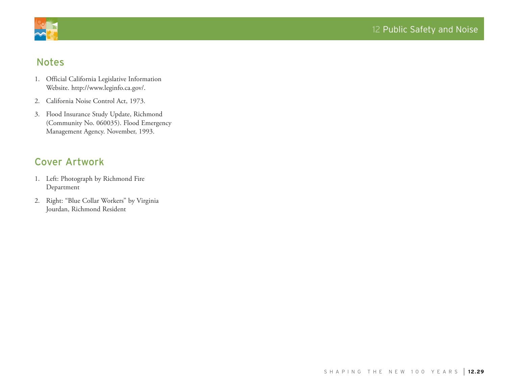

# Notes

- 1. Official California Legislative Information Website. http://www.leginfo.ca.gov/.
- 2. California Noise Control Act, 1973.
- 3. Flood Insurance Study Update, Richmond (Community No. 060035). Flood Emergency Management Agency. November, 1993.

# Cover Artwork

- 1. Left: Photograph by Richmond Fire Department
- 2. Right: "Blue Collar Workers" by Virginia Jourdan, Richmond Resident